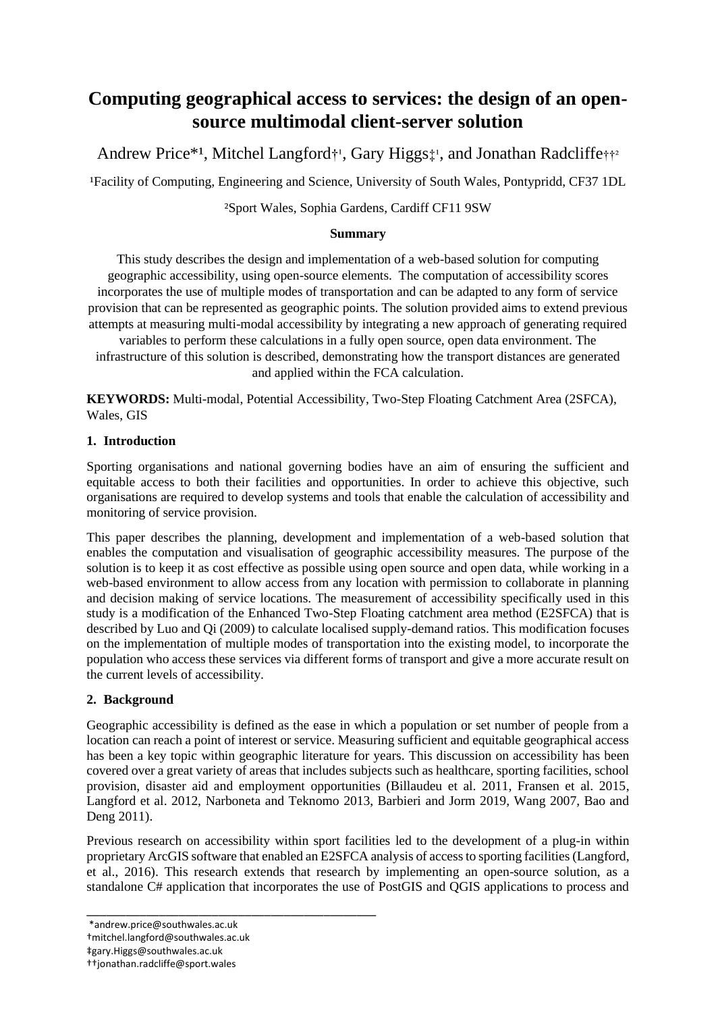# **Computing geographical access to services: the design of an opensource multimodal client-server solution**

Andrew Price\*<sup>1</sup>, Mitchel Langford<sup>+1</sup>, Gary Higgs<sup>+1</sup>, and Jonathan Radcliffe<sup>++2</sup>

¹Facility of Computing, Engineering and Science, University of South Wales, Pontypridd, CF37 1DL

²Sport Wales, Sophia Gardens, Cardiff CF11 9SW

## **Summary**

This study describes the design and implementation of a web-based solution for computing geographic accessibility, using open-source elements. The computation of accessibility scores incorporates the use of multiple modes of transportation and can be adapted to any form of service provision that can be represented as geographic points. The solution provided aims to extend previous attempts at measuring multi-modal accessibility by integrating a new approach of generating required

variables to perform these calculations in a fully open source, open data environment. The infrastructure of this solution is described, demonstrating how the transport distances are generated and applied within the FCA calculation.

**KEYWORDS:** Multi-modal, Potential Accessibility, Two-Step Floating Catchment Area (2SFCA), Wales, GIS

### **1. Introduction**

Sporting organisations and national governing bodies have an aim of ensuring the sufficient and equitable access to both their facilities and opportunities. In order to achieve this objective, such organisations are required to develop systems and tools that enable the calculation of accessibility and monitoring of service provision.

This paper describes the planning, development and implementation of a web-based solution that enables the computation and visualisation of geographic accessibility measures. The purpose of the solution is to keep it as cost effective as possible using open source and open data, while working in a web-based environment to allow access from any location with permission to collaborate in planning and decision making of service locations. The measurement of accessibility specifically used in this study is a modification of the Enhanced Two-Step Floating catchment area method (E2SFCA) that is described by Luo and Qi (2009) to calculate localised supply-demand ratios. This modification focuses on the implementation of multiple modes of transportation into the existing model, to incorporate the population who access these services via different forms of transport and give a more accurate result on the current levels of accessibility.

# **2. Background**

Geographic accessibility is defined as the ease in which a population or set number of people from a location can reach a point of interest or service. Measuring sufficient and equitable geographical access has been a key topic within geographic literature for years. This discussion on accessibility has been covered over a great variety of areas that includes subjects such as healthcare, sporting facilities, school provision, disaster aid and employment opportunities (Billaudeu et al. 2011, Fransen et al. 2015, Langford et al. 2012, Narboneta and Teknomo 2013, Barbieri and Jorm 2019, Wang 2007, Bao and Deng 2011).

Previous research on accessibility within sport facilities led to the development of a plug-in within proprietary ArcGIS software that enabled an E2SFCA analysis of access to sporting facilities (Langford, et al., 2016). This research extends that research by implementing an open-source solution, as a standalone C# application that incorporates the use of PostGIS and QGIS applications to process and

\_\_\_\_\_\_\_\_\_\_\_\_\_\_\_\_\_\_\_\_\_\_\_\_\_\_\_\_\_\_\_\_\_\_\_\_\_\_\_\_\_\_\_\_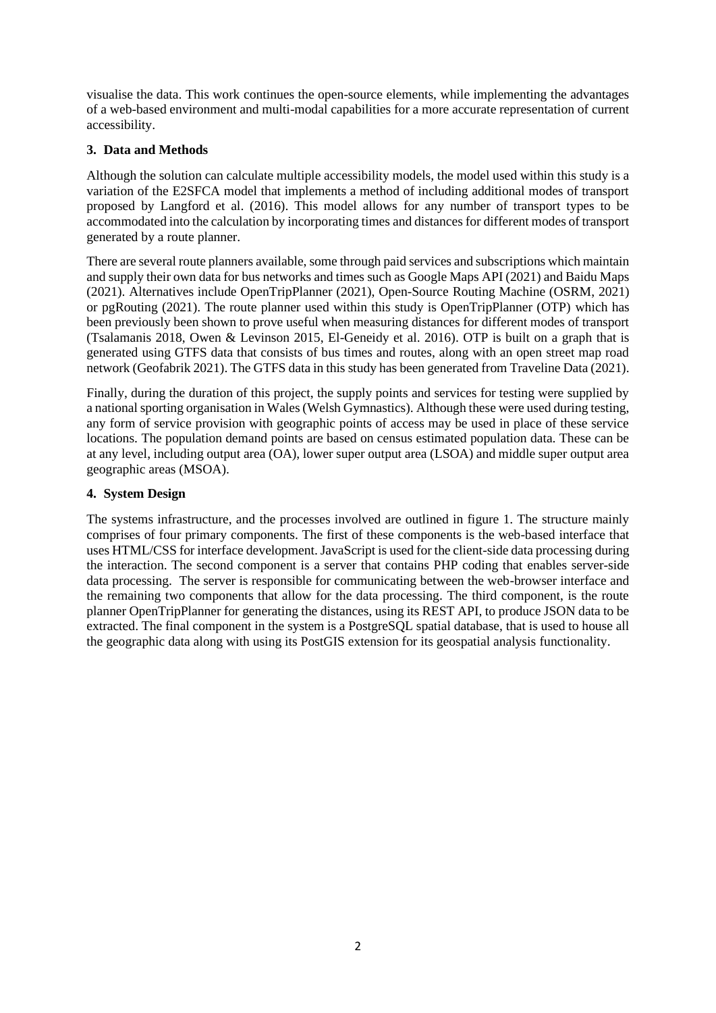visualise the data. This work continues the open-source elements, while implementing the advantages of a web-based environment and multi-modal capabilities for a more accurate representation of current accessibility.

## **3. Data and Methods**

Although the solution can calculate multiple accessibility models, the model used within this study is a variation of the E2SFCA model that implements a method of including additional modes of transport proposed by Langford et al. (2016). This model allows for any number of transport types to be accommodated into the calculation by incorporating times and distancesfor different modes of transport generated by a route planner.

There are several route planners available, some through paid services and subscriptions which maintain and supply their own data for bus networks and times such as Google Maps API (2021) and Baidu Maps (2021). Alternatives include OpenTripPlanner (2021), Open-Source Routing Machine (OSRM, 2021) or pgRouting (2021). The route planner used within this study is OpenTripPlanner (OTP) which has been previously been shown to prove useful when measuring distances for different modes of transport (Tsalamanis 2018, Owen & Levinson 2015, El-Geneidy et al. 2016). OTP is built on a graph that is generated using GTFS data that consists of bus times and routes, along with an open street map road network (Geofabrik 2021). The GTFS data in this study has been generated from Traveline Data (2021).

Finally, during the duration of this project, the supply points and services for testing were supplied by a national sporting organisation in Wales (Welsh Gymnastics). Although these were used during testing, any form of service provision with geographic points of access may be used in place of these service locations. The population demand points are based on census estimated population data. These can be at any level, including output area (OA), lower super output area (LSOA) and middle super output area geographic areas (MSOA).

### **4. System Design**

The systems infrastructure, and the processes involved are outlined in figure 1. The structure mainly comprises of four primary components. The first of these components is the web-based interface that uses HTML/CSS for interface development. JavaScript is used for the client-side data processing during the interaction. The second component is a server that contains PHP coding that enables server-side data processing. The server is responsible for communicating between the web-browser interface and the remaining two components that allow for the data processing. The third component, is the route planner OpenTripPlanner for generating the distances, using its REST API, to produce JSON data to be extracted. The final component in the system is a PostgreSQL spatial database, that is used to house all the geographic data along with using its PostGIS extension for its geospatial analysis functionality.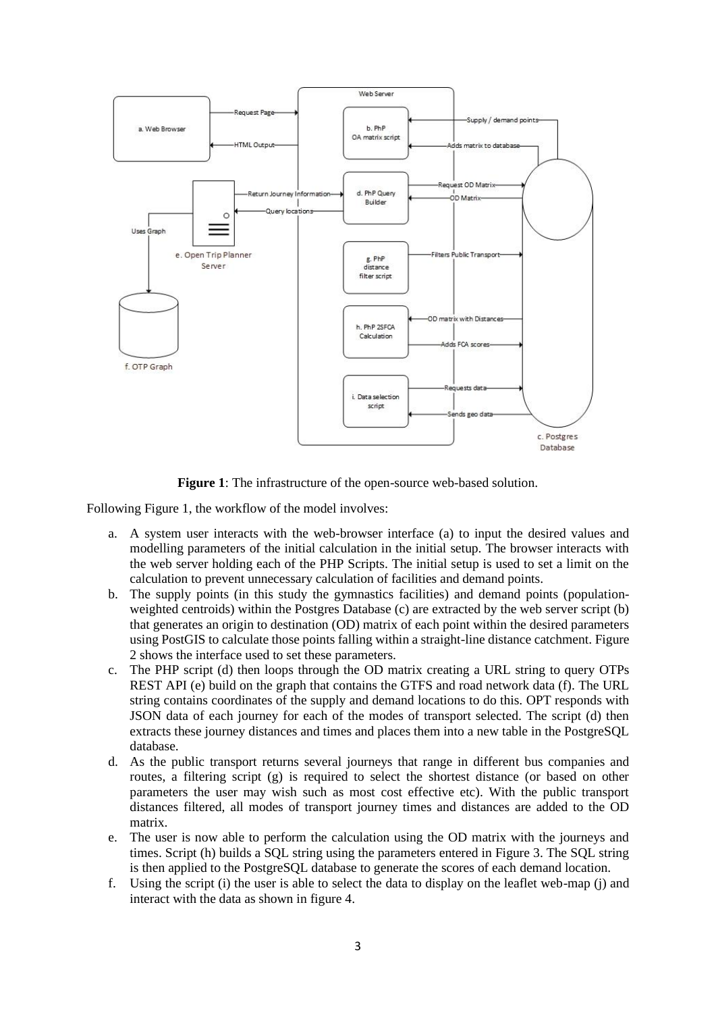

**Figure 1**: The infrastructure of the open-source web-based solution.

Following Figure 1, the workflow of the model involves:

- a. A system user interacts with the web-browser interface (a) to input the desired values and modelling parameters of the initial calculation in the initial setup. The browser interacts with the web server holding each of the PHP Scripts. The initial setup is used to set a limit on the calculation to prevent unnecessary calculation of facilities and demand points.
- b. The supply points (in this study the gymnastics facilities) and demand points (populationweighted centroids) within the Postgres Database (c) are extracted by the web server script (b) that generates an origin to destination (OD) matrix of each point within the desired parameters using PostGIS to calculate those points falling within a straight-line distance catchment. Figure 2 shows the interface used to set these parameters.
- c. The PHP script (d) then loops through the OD matrix creating a URL string to query OTPs REST API (e) build on the graph that contains the GTFS and road network data (f). The URL string contains coordinates of the supply and demand locations to do this. OPT responds with JSON data of each journey for each of the modes of transport selected. The script (d) then extracts these journey distances and times and places them into a new table in the PostgreSQL database.
- d. As the public transport returns several journeys that range in different bus companies and routes, a filtering script (g) is required to select the shortest distance (or based on other parameters the user may wish such as most cost effective etc). With the public transport distances filtered, all modes of transport journey times and distances are added to the OD matrix.
- e. The user is now able to perform the calculation using the OD matrix with the journeys and times. Script (h) builds a SQL string using the parameters entered in Figure 3. The SQL string is then applied to the PostgreSQL database to generate the scores of each demand location.
- f. Using the script (i) the user is able to select the data to display on the leaflet web-map (j) and interact with the data as shown in figure 4.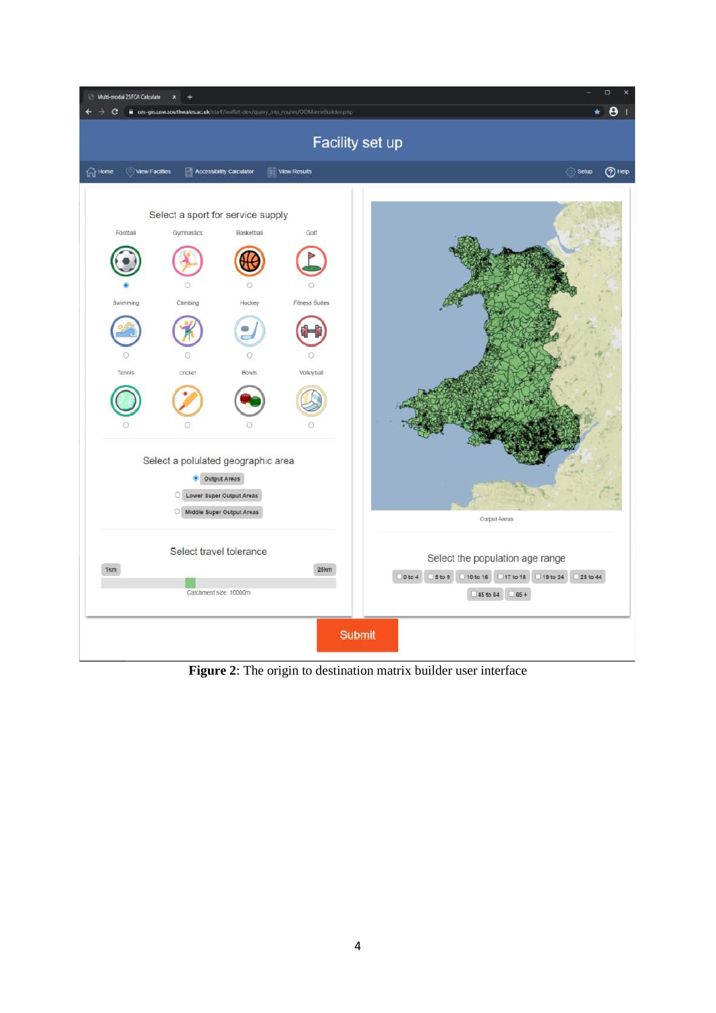

**Figure 2**: The origin to destination matrix builder user interface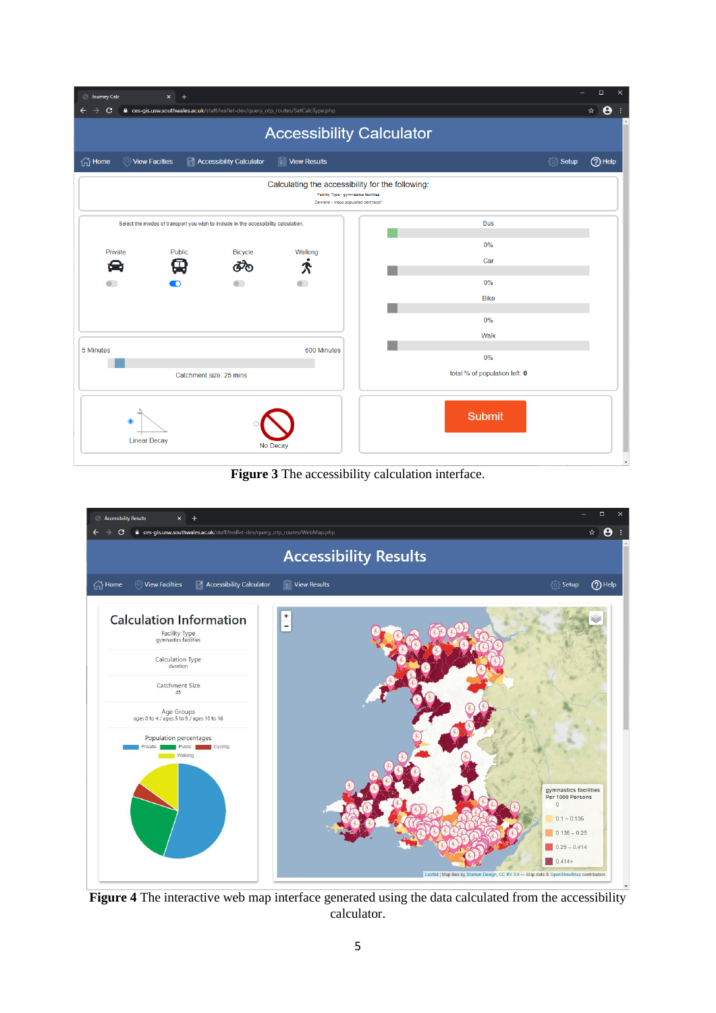| <b>S</b> Journey Calc<br>$\times$                                                                                               | $\Box$<br>$\times$                |  |
|---------------------------------------------------------------------------------------------------------------------------------|-----------------------------------|--|
| e ces-gis.usw.southwales.ac.uk/staff/leaflet-dev/query_otp_routes/SetCalcType.php<br>C                                          | $\boldsymbol{\Theta}$<br>☆<br>- ÷ |  |
| <b>Accessibility Calculator</b>                                                                                                 |                                   |  |
| $\widehat{h}$ Home<br><b>Accessibility Calculator</b><br><b>II</b> View Results<br>◯ View Facilties                             | {ੋ} Setup<br>$(2)$ Help           |  |
| Calculating the accessibility for the following:<br>Facility Type - gymnastics facilities<br>Demand - msoa populated centroids" |                                   |  |
| Select the modes of transport you wish to include in the accessibility calculation.                                             | <b>Bus</b>                        |  |
|                                                                                                                                 | 0%                                |  |
| Private<br>Public<br><b>Bicycle</b><br>Walking<br>匝<br>ക്<br>恕<br>Х                                                             | Car                               |  |
| n                                                                                                                               | 0%                                |  |
|                                                                                                                                 | <b>Bike</b>                       |  |
|                                                                                                                                 |                                   |  |
|                                                                                                                                 | 0%                                |  |
|                                                                                                                                 | Walk                              |  |
| 600 Minutes<br>5 Minutes                                                                                                        | 0%                                |  |
| Catchment size: 25 mins                                                                                                         | total % of population left: 0     |  |
| <b>Submit</b><br>$\bullet$<br><b>Linear Decay</b><br>No Decay<br>$\overline{\phantom{a}}$                                       |                                   |  |

**Figure 3** The accessibility calculation interface.



**Figure 4** The interactive web map interface generated using the data calculated from the accessibility calculator.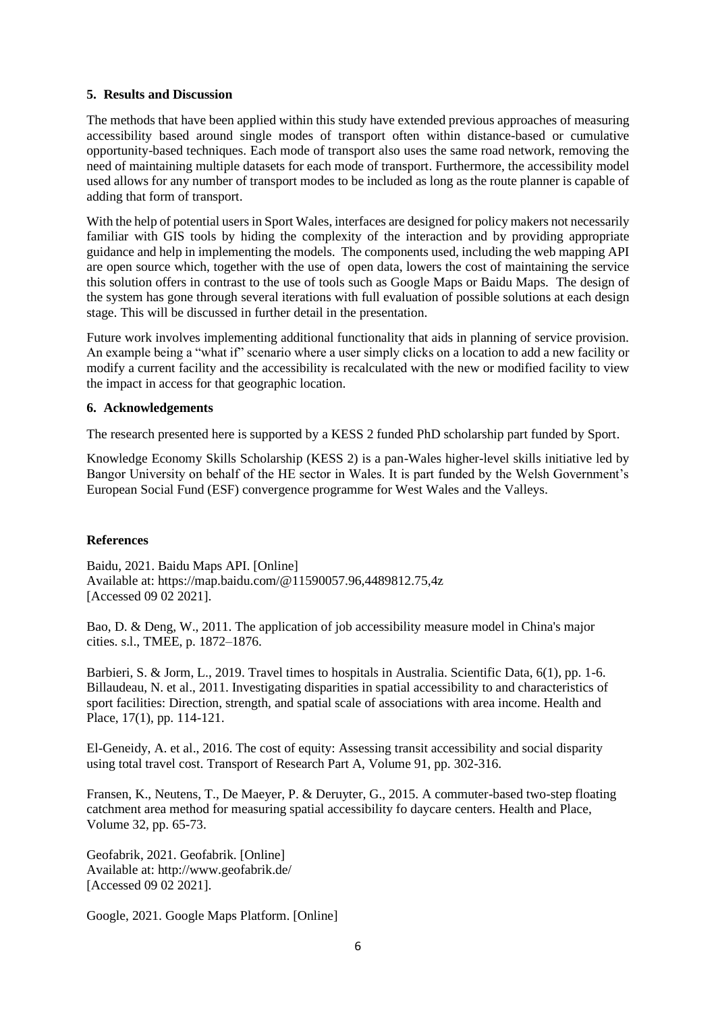#### **5. Results and Discussion**

The methods that have been applied within this study have extended previous approaches of measuring accessibility based around single modes of transport often within distance-based or cumulative opportunity-based techniques. Each mode of transport also uses the same road network, removing the need of maintaining multiple datasets for each mode of transport. Furthermore, the accessibility model used allows for any number of transport modes to be included as long as the route planner is capable of adding that form of transport.

With the help of potential users in Sport Wales, interfaces are designed for policy makers not necessarily familiar with GIS tools by hiding the complexity of the interaction and by providing appropriate guidance and help in implementing the models. The components used, including the web mapping API are open source which, together with the use of open data, lowers the cost of maintaining the service this solution offers in contrast to the use of tools such as Google Maps or Baidu Maps. The design of the system has gone through several iterations with full evaluation of possible solutions at each design stage. This will be discussed in further detail in the presentation.

Future work involves implementing additional functionality that aids in planning of service provision. An example being a "what if" scenario where a user simply clicks on a location to add a new facility or modify a current facility and the accessibility is recalculated with the new or modified facility to view the impact in access for that geographic location.

#### **6. Acknowledgements**

The research presented here is supported by a KESS 2 funded PhD scholarship part funded by Sport.

Knowledge Economy Skills Scholarship (KESS 2) is a pan-Wales higher-level skills initiative led by Bangor University on behalf of the HE sector in Wales. It is part funded by the Welsh Government's European Social Fund (ESF) convergence programme for West Wales and the Valleys.

#### **References**

Baidu, 2021. Baidu Maps API. [Online] Available at: https://map.baidu.com/@11590057.96,4489812.75,4z [Accessed 09 02 2021].

Bao, D. & Deng, W., 2011. The application of job accessibility measure model in China's major cities. s.l., TMEE, p. 1872–1876.

Barbieri, S. & Jorm, L., 2019. Travel times to hospitals in Australia. Scientific Data, 6(1), pp. 1-6. Billaudeau, N. et al., 2011. Investigating disparities in spatial accessibility to and characteristics of sport facilities: Direction, strength, and spatial scale of associations with area income. Health and Place, 17(1), pp. 114-121.

El-Geneidy, A. et al., 2016. The cost of equity: Assessing transit accessibility and social disparity using total travel cost. Transport of Research Part A, Volume 91, pp. 302-316.

Fransen, K., Neutens, T., De Maeyer, P. & Deruyter, G., 2015. A commuter-based two-step floating catchment area method for measuring spatial accessibility fo daycare centers. Health and Place, Volume 32, pp. 65-73.

Geofabrik, 2021. Geofabrik. [Online] Available at: http://www.geofabrik.de/ [Accessed 09 02 2021].

Google, 2021. Google Maps Platform. [Online]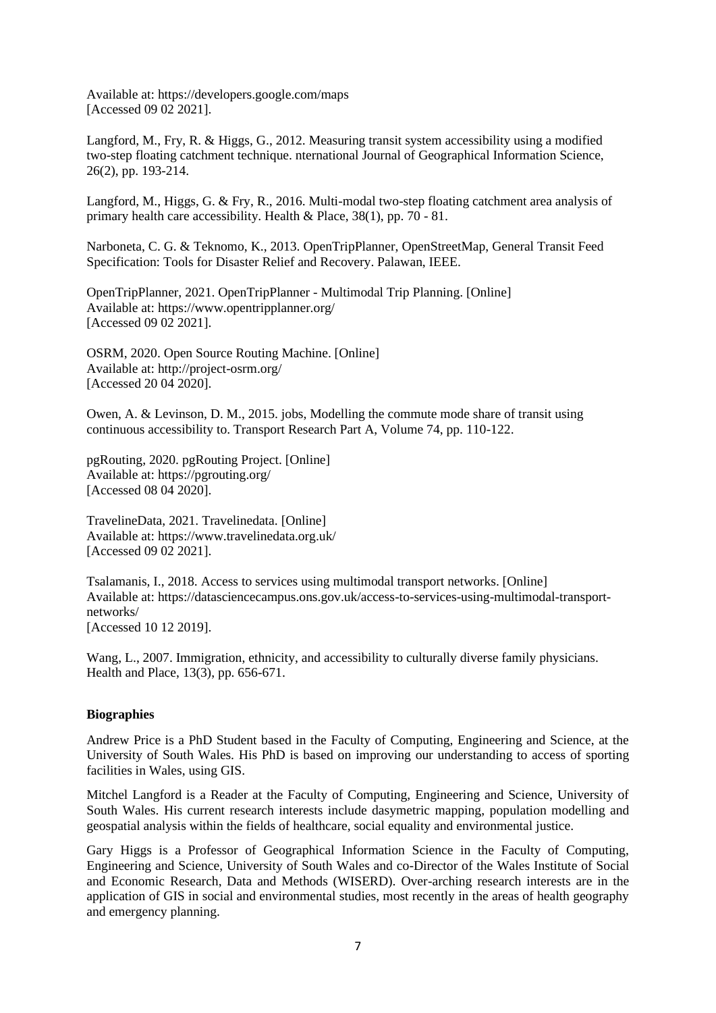Available at: https://developers.google.com/maps [Accessed 09 02 2021].

Langford, M., Fry, R. & Higgs, G., 2012. Measuring transit system accessibility using a modified two-step floating catchment technique. nternational Journal of Geographical Information Science, 26(2), pp. 193-214.

Langford, M., Higgs, G. & Fry, R., 2016. Multi-modal two-step floating catchment area analysis of primary health care accessibility. Health & Place, 38(1), pp. 70 - 81.

Narboneta, C. G. & Teknomo, K., 2013. OpenTripPlanner, OpenStreetMap, General Transit Feed Specification: Tools for Disaster Relief and Recovery. Palawan, IEEE.

OpenTripPlanner, 2021. OpenTripPlanner - Multimodal Trip Planning. [Online] Available at: https://www.opentripplanner.org/ [Accessed 09 02 2021].

OSRM, 2020. Open Source Routing Machine. [Online] Available at: http://project-osrm.org/ [Accessed 20 04 2020].

Owen, A. & Levinson, D. M., 2015. jobs, Modelling the commute mode share of transit using continuous accessibility to. Transport Research Part A, Volume 74, pp. 110-122.

pgRouting, 2020. pgRouting Project. [Online] Available at: https://pgrouting.org/ [Accessed 08 04 2020].

TravelineData, 2021. Travelinedata. [Online] Available at: https://www.travelinedata.org.uk/ [Accessed 09 02 2021].

Tsalamanis, I., 2018. Access to services using multimodal transport networks. [Online] Available at: https://datasciencecampus.ons.gov.uk/access-to-services-using-multimodal-transportnetworks/ [Accessed 10 12 2019].

Wang, L., 2007. Immigration, ethnicity, and accessibility to culturally diverse family physicians. Health and Place, 13(3), pp. 656-671.

#### **Biographies**

Andrew Price is a PhD Student based in the Faculty of Computing, Engineering and Science, at the University of South Wales. His PhD is based on improving our understanding to access of sporting facilities in Wales, using GIS.

Mitchel Langford is a Reader at the Faculty of Computing, Engineering and Science, University of South Wales. His current research interests include dasymetric mapping, population modelling and geospatial analysis within the fields of healthcare, social equality and environmental justice.

Gary Higgs is a Professor of Geographical Information Science in the Faculty of Computing, Engineering and Science, University of South Wales and co-Director of the Wales Institute of Social and Economic Research, Data and Methods (WISERD). Over-arching research interests are in the application of GIS in social and environmental studies, most recently in the areas of health geography and emergency planning.